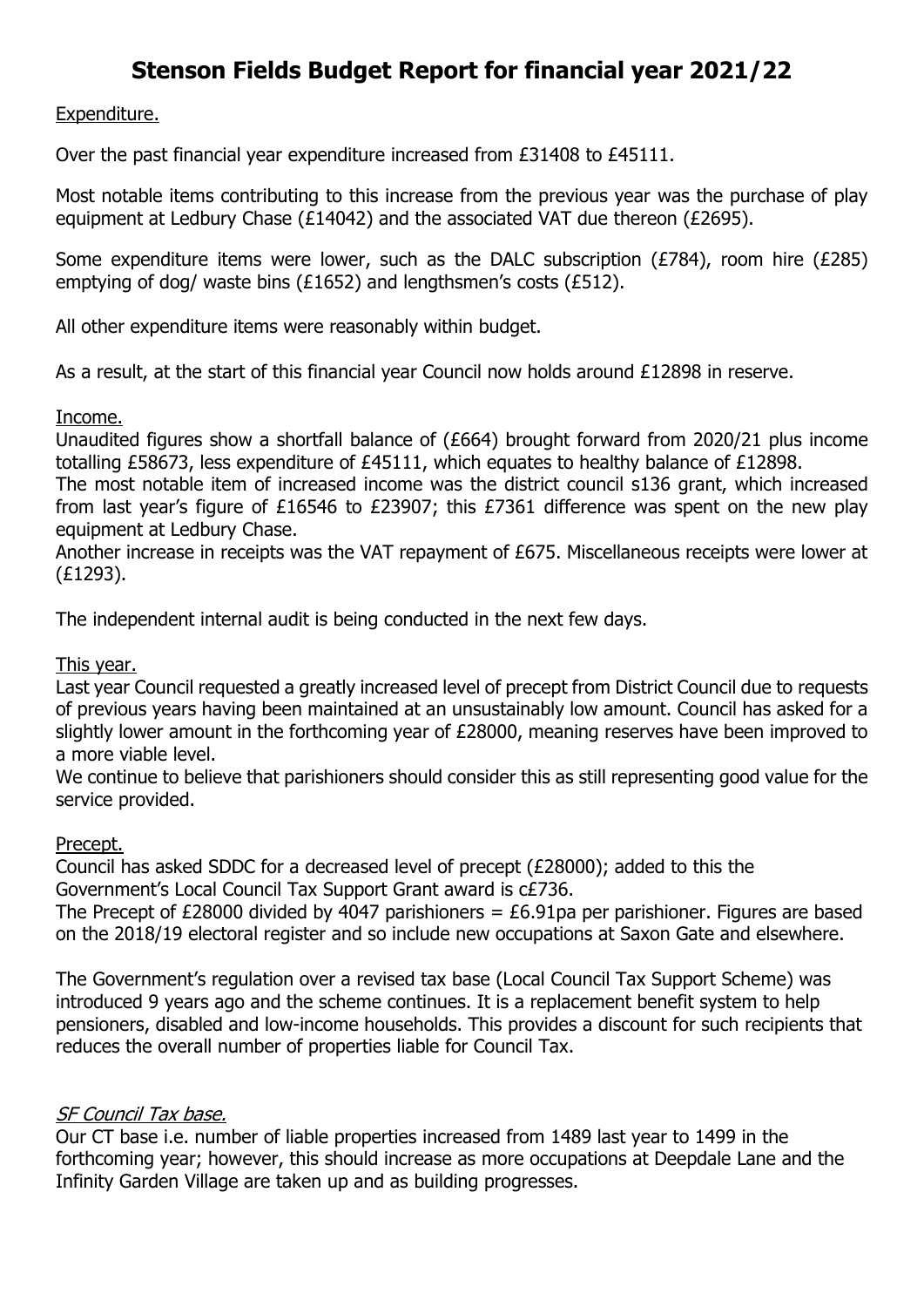# **Stenson Fields Budget Report for financial year 2021/22**

Expenditure.

Over the past financial year expenditure increased from £31408 to £45111.

Most notable items contributing to this increase from the previous year was the purchase of play equipment at Ledbury Chase (£14042) and the associated VAT due thereon (£2695).

Some expenditure items were lower, such as the DALC subscription (£784), room hire (£285) emptying of dog/ waste bins (£1652) and lengthsmen's costs (£512).

All other expenditure items were reasonably within budget.

As a result, at the start of this financial year Council now holds around £12898 in reserve.

Income.

Unaudited figures show a shortfall balance of (£664) brought forward from 2020/21 plus income totalling £58673, less expenditure of £45111, which equates to healthy balance of £12898.

The most notable item of increased income was the district council s136 grant, which increased from last year's figure of £16546 to £23907; this £7361 difference was spent on the new play equipment at Ledbury Chase.

Another increase in receipts was the VAT repayment of £675. Miscellaneous receipts were lower at (£1293).

The independent internal audit is being conducted in the next few days.

### This year.

Last year Council requested a greatly increased level of precept from District Council due to requests of previous years having been maintained at an unsustainably low amount. Council has asked for a slightly lower amount in the forthcoming year of £28000, meaning reserves have been improved to a more viable level.

We continue to believe that parishioners should consider this as still representing good value for the service provided.

#### Precept.

Council has asked SDDC for a decreased level of precept (£28000); added to this the Government's Local Council Tax Support Grant award is c£736.

The Precept of £28000 divided by 4047 parishioners =  $£6.91$ pa per parishioner. Figures are based on the 2018/19 electoral register and so include new occupations at Saxon Gate and elsewhere.

The Government's regulation over a revised tax base (Local Council Tax Support Scheme) was introduced 9 years ago and the scheme continues. It is a replacement benefit system to help pensioners, disabled and low-income households. This provides a discount for such recipients that reduces the overall number of properties liable for Council Tax.

## SF Council Tax base.

Our CT base i.e. number of liable properties increased from 1489 last year to 1499 in the forthcoming year; however, this should increase as more occupations at Deepdale Lane and the Infinity Garden Village are taken up and as building progresses.